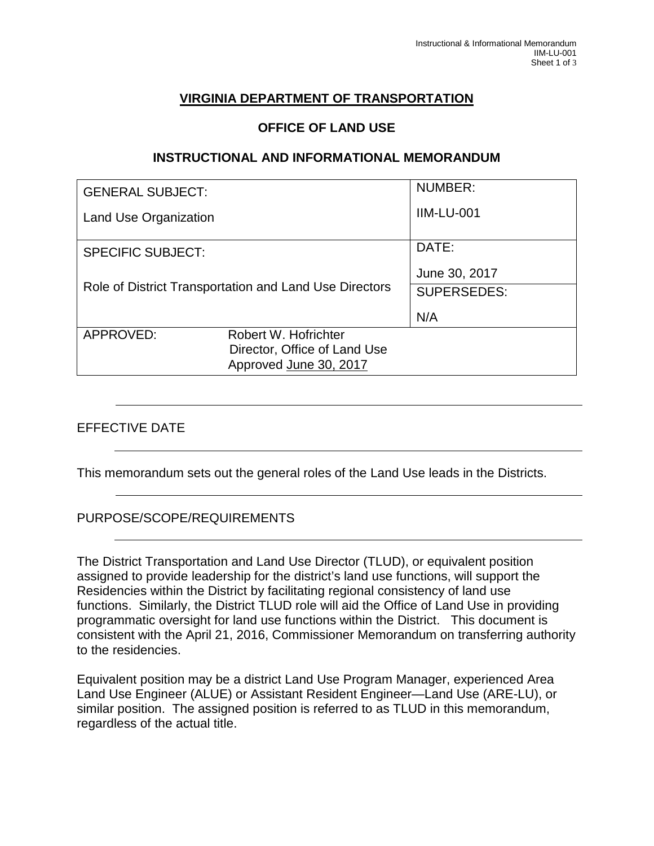# **VIRGINIA DEPARTMENT OF TRANSPORTATION**

#### **OFFICE OF LAND USE**

#### **INSTRUCTIONAL AND INFORMATIONAL MEMORANDUM**

| <b>GENERAL SUBJECT:</b>                                |                                                        | <b>NUMBER:</b>     |
|--------------------------------------------------------|--------------------------------------------------------|--------------------|
| <b>Land Use Organization</b>                           |                                                        | <b>IIM-LU-001</b>  |
| <b>SPECIFIC SUBJECT:</b>                               |                                                        | DATE:              |
|                                                        |                                                        | June 30, 2017      |
| Role of District Transportation and Land Use Directors |                                                        | <b>SUPERSEDES:</b> |
|                                                        |                                                        | N/A                |
| APPROVED:                                              | Robert W. Hofrichter                                   |                    |
|                                                        | Director, Office of Land Use<br>Approved June 30, 2017 |                    |
|                                                        |                                                        |                    |

#### EFFECTIVE DATE

This memorandum sets out the general roles of the Land Use leads in the Districts.

#### PURPOSE/SCOPE/REQUIREMENTS

The District Transportation and Land Use Director (TLUD), or equivalent position assigned to provide leadership for the district's land use functions, will support the Residencies within the District by facilitating regional consistency of land use functions. Similarly, the District TLUD role will aid the Office of Land Use in providing programmatic oversight for land use functions within the District. This document is consistent with the April 21, 2016, Commissioner Memorandum on transferring authority to the residencies.

Equivalent position may be a district Land Use Program Manager, experienced Area Land Use Engineer (ALUE) or Assistant Resident Engineer—Land Use (ARE-LU), or similar position. The assigned position is referred to as TLUD in this memorandum, regardless of the actual title.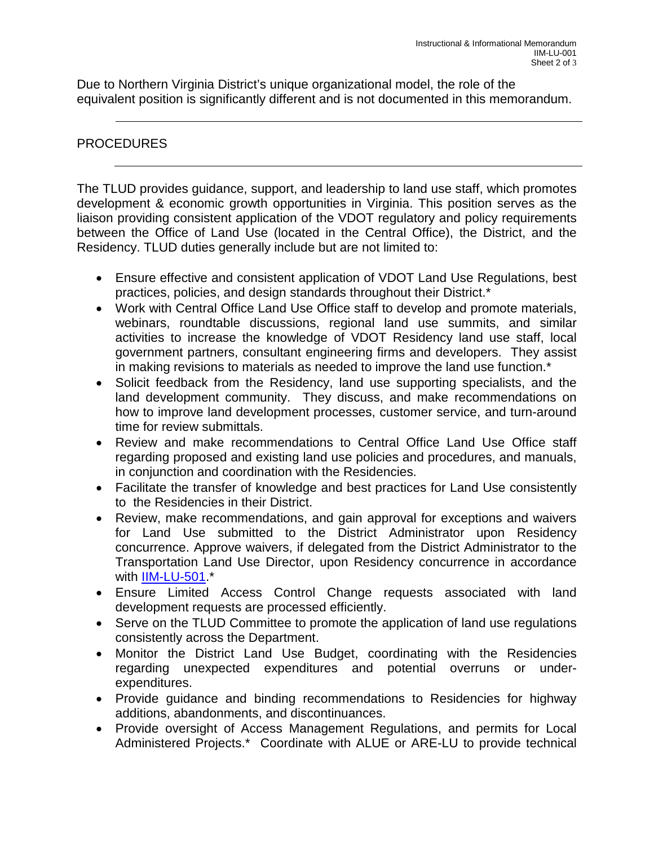Due to Northern Virginia District's unique organizational model, the role of the equivalent position is significantly different and is not documented in this memorandum.

### PROCEDURES

The TLUD provides guidance, support, and leadership to land use staff, which promotes development & economic growth opportunities in Virginia. This position serves as the liaison providing consistent application of the VDOT regulatory and policy requirements between the Office of Land Use (located in the Central Office), the District, and the Residency. TLUD duties generally include but are not limited to:

- Ensure effective and consistent application of VDOT Land Use Regulations, best practices, policies, and design standards throughout their District.\*
- Work with Central Office Land Use Office staff to develop and promote materials, webinars, roundtable discussions, regional land use summits, and similar activities to increase the knowledge of VDOT Residency land use staff, local government partners, consultant engineering firms and developers. They assist in making revisions to materials as needed to improve the land use function.\*
- Solicit feedback from the Residency, land use supporting specialists, and the land development community. They discuss, and make recommendations on how to improve land development processes, customer service, and turn-around time for review submittals.
- Review and make recommendations to Central Office Land Use Office staff regarding proposed and existing land use policies and procedures, and manuals, in conjunction and coordination with the Residencies.
- Facilitate the transfer of knowledge and best practices for Land Use consistently to the Residencies in their District.
- Review, make recommendations, and gain approval for exceptions and waivers for Land Use submitted to the District Administrator upon Residency concurrence. Approve waivers, if delegated from the District Administrator to the Transportation Land Use Director, upon Residency concurrence in accordance with [IIM-LU-501.](https://insidevdot.cov.virginia.gov/Search/Pages/corpdocsearchresults.aspx?k=%22office%20of%20land%20use%22&r=vdotoffice%3D%22ARIBT2ZmaWNlIG9mIExhbmQgVXNlCnZkb3RvZmZpY2UBAl4iAiIk%22)\*
- Ensure Limited Access Control Change requests associated with land development requests are processed efficiently.
- Serve on the TLUD Committee to promote the application of land use regulations consistently across the Department.
- Monitor the District Land Use Budget, coordinating with the Residencies regarding unexpected expenditures and potential overruns or underexpenditures.
- Provide guidance and binding recommendations to Residencies for highway additions, abandonments, and discontinuances.
- Provide oversight of Access Management Regulations, and permits for Local Administered Projects.\* Coordinate with ALUE or ARE-LU to provide technical